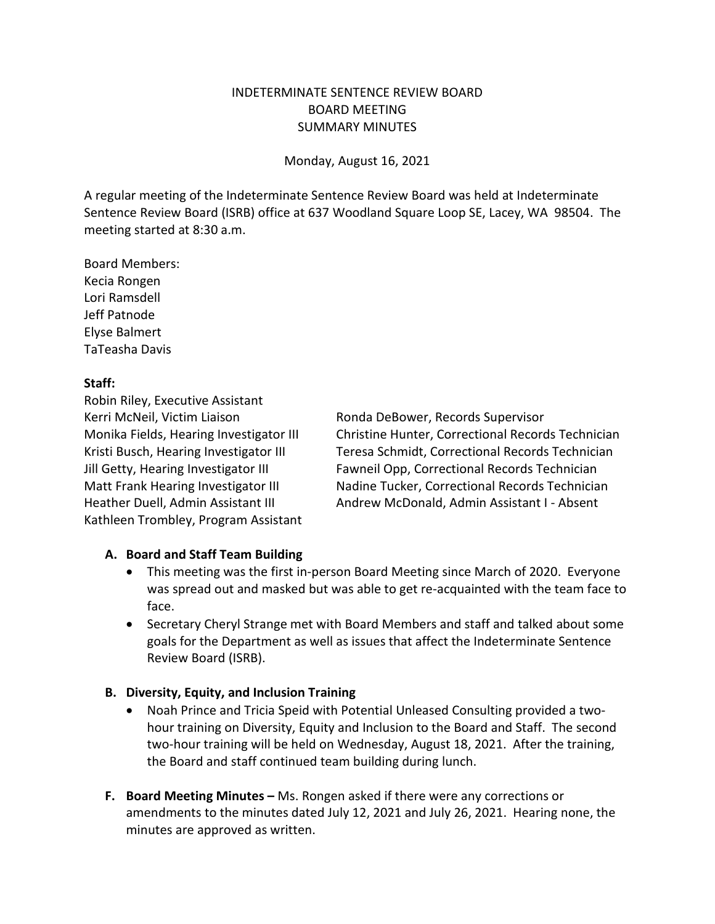## INDETERMINATE SENTENCE REVIEW BOARD BOARD MEETING SUMMARY MINUTES

Monday, August 16, 2021

A regular meeting of the Indeterminate Sentence Review Board was held at Indeterminate Sentence Review Board (ISRB) office at 637 Woodland Square Loop SE, Lacey, WA 98504. The meeting started at 8:30 a.m.

Board Members: Kecia Rongen Lori Ramsdell Jeff Patnode Elyse Balmert TaTeasha Davis

## **Staff:**

Robin Riley, Executive Assistant Kerri McNeil, Victim Liaison **Ronda DeBower, Records Supervisor** Kathleen Trombley, Program Assistant

Monika Fields, Hearing Investigator III Christine Hunter, Correctional Records Technician Kristi Busch, Hearing Investigator III Teresa Schmidt, Correctional Records Technician Jill Getty, Hearing Investigator III Fawneil Opp, Correctional Records Technician Matt Frank Hearing Investigator III Nadine Tucker, Correctional Records Technician Heather Duell, Admin Assistant III Andrew McDonald, Admin Assistant I - Absent

# **A. Board and Staff Team Building**

- This meeting was the first in-person Board Meeting since March of 2020. Everyone was spread out and masked but was able to get re-acquainted with the team face to face.
- Secretary Cheryl Strange met with Board Members and staff and talked about some goals for the Department as well as issues that affect the Indeterminate Sentence Review Board (ISRB).

#### **B. Diversity, Equity, and Inclusion Training**

- Noah Prince and Tricia Speid with Potential Unleased Consulting provided a twohour training on Diversity, Equity and Inclusion to the Board and Staff. The second two-hour training will be held on Wednesday, August 18, 2021. After the training, the Board and staff continued team building during lunch.
- **F. Board Meeting Minutes –** Ms. Rongen asked if there were any corrections or amendments to the minutes dated July 12, 2021 and July 26, 2021. Hearing none, the minutes are approved as written.